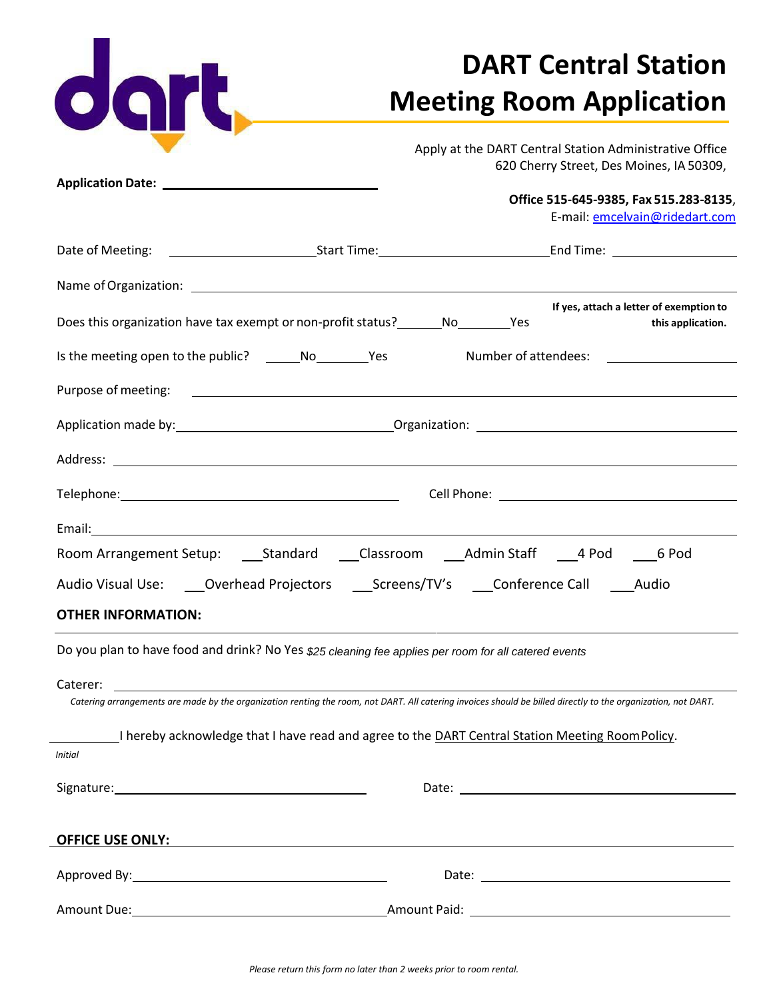| dart,                     |                                                                                                                                        | <b>DART Central Station</b>                                                                                                                                   |  |
|---------------------------|----------------------------------------------------------------------------------------------------------------------------------------|---------------------------------------------------------------------------------------------------------------------------------------------------------------|--|
|                           | <b>Meeting Room Application</b><br>Apply at the DART Central Station Administrative Office<br>620 Cherry Street, Des Moines, IA 50309, |                                                                                                                                                               |  |
|                           |                                                                                                                                        | Office 515-645-9385, Fax 515.283-8135,<br>E-mail: emcelvain@ridedart.com                                                                                      |  |
|                           |                                                                                                                                        |                                                                                                                                                               |  |
|                           |                                                                                                                                        |                                                                                                                                                               |  |
|                           | Does this organization have tax exempt or non-profit status? _______ No_________Yes                                                    | If yes, attach a letter of exemption to<br>this application.                                                                                                  |  |
|                           |                                                                                                                                        |                                                                                                                                                               |  |
| Purpose of meeting:       |                                                                                                                                        | <u> 1989 - Johann Stoff, deutscher Stoffen und der Stoffen und der Stoffen und der Stoffen und der Stoffen und der</u>                                        |  |
|                           |                                                                                                                                        |                                                                                                                                                               |  |
|                           |                                                                                                                                        |                                                                                                                                                               |  |
|                           |                                                                                                                                        |                                                                                                                                                               |  |
|                           |                                                                                                                                        |                                                                                                                                                               |  |
|                           |                                                                                                                                        | Room Arrangement Setup: ______Standard ______Classroom ______Admin Staff _____4 Pod ______6 Pod                                                               |  |
|                           | Audio Visual Use: _____Overhead Projectors _________Screens/TV's _____Conference Call ______Audio                                      |                                                                                                                                                               |  |
| <b>OTHER INFORMATION:</b> |                                                                                                                                        |                                                                                                                                                               |  |
|                           | Do you plan to have food and drink? No Yes \$25 cleaning fee applies per room for all catered events                                   |                                                                                                                                                               |  |
| Caterer:                  |                                                                                                                                        | Catering arrangements are made by the organization renting the room, not DART. All catering invoices should be billed directly to the organization, not DART. |  |
|                           | I hereby acknowledge that I have read and agree to the DART Central Station Meeting RoomPolicy.                                        |                                                                                                                                                               |  |
| <b>Initial</b>            |                                                                                                                                        |                                                                                                                                                               |  |
|                           |                                                                                                                                        |                                                                                                                                                               |  |
| <u>OFFICE USE ONLY:</u>   | <u> 1989 - Johann Barbara, martxa alemaniar argametar a martxa a shekara a shekara a shekara a shekara a shekara</u>                   |                                                                                                                                                               |  |
|                           |                                                                                                                                        |                                                                                                                                                               |  |
|                           |                                                                                                                                        |                                                                                                                                                               |  |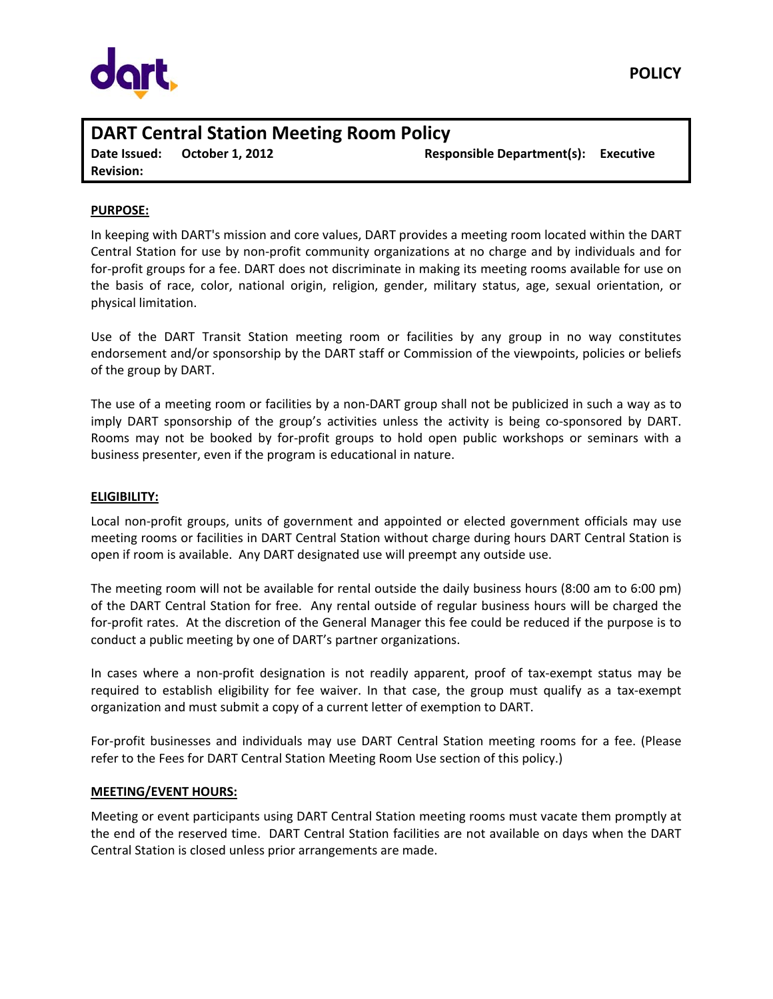

# **DART Central Station Meeting Room Policy Date Issued: October 1, 2012 Responsible Department(s): Executive Revision:**

# **PURPOSE:**

In keeping with DART's mission and core values, DART provides a meeting room located within the DART Central Station for use by non‐profit community organizations at no charge and by individuals and for for-profit groups for a fee. DART does not discriminate in making its meeting rooms available for use on the basis of race, color, national origin, religion, gender, military status, age, sexual orientation, or physical limitation.

Use of the DART Transit Station meeting room or facilities by any group in no way constitutes endorsement and/or sponsorship by the DART staff or Commission of the viewpoints, policies or beliefs of the group by DART.

The use of a meeting room or facilities by a non‐DART group shall not be publicized in such a way as to imply DART sponsorship of the group's activities unless the activity is being co‐sponsored by DART. Rooms may not be booked by for‐profit groups to hold open public workshops or seminars with a business presenter, even if the program is educational in nature.

## **ELIGIBILITY:**

Local non‐profit groups, units of government and appointed or elected government officials may use meeting rooms or facilities in DART Central Station without charge during hours DART Central Station is open if room is available. Any DART designated use will preempt any outside use.

The meeting room will not be available for rental outside the daily business hours (8:00 am to 6:00 pm) of the DART Central Station for free. Any rental outside of regular business hours will be charged the for-profit rates. At the discretion of the General Manager this fee could be reduced if the purpose is to conduct a public meeting by one of DART's partner organizations.

In cases where a non-profit designation is not readily apparent, proof of tax-exempt status may be required to establish eligibility for fee waiver. In that case, the group must qualify as a tax‐exempt organization and must submit a copy of a current letter of exemption to DART.

For‐profit businesses and individuals may use DART Central Station meeting rooms for a fee. (Please refer to the Fees for DART Central Station Meeting Room Use section of this policy.)

## **MEETING/EVENT HOURS:**

Meeting or event participants using DART Central Station meeting rooms must vacate them promptly at the end of the reserved time. DART Central Station facilities are not available on days when the DART Central Station is closed unless prior arrangements are made.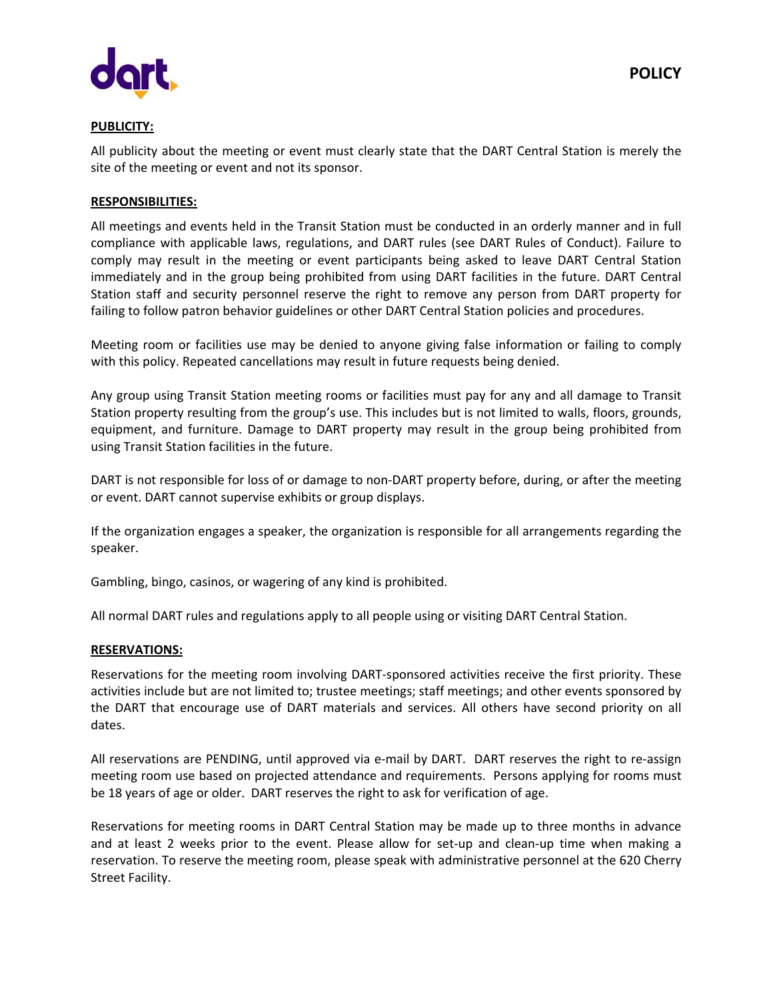



# **PUBLICITY:**

All publicity about the meeting or event must clearly state that the DART Central Station is merely the site of the meeting or event and not its sponsor.

# **RESPONSIBILITIES:**

All meetings and events held in the Transit Station must be conducted in an orderly manner and in full compliance with applicable laws, regulations, and DART rules (see DART Rules of Conduct). Failure to comply may result in the meeting or event participants being asked to leave DART Central Station immediately and in the group being prohibited from using DART facilities in the future. DART Central Station staff and security personnel reserve the right to remove any person from DART property for failing to follow patron behavior guidelines or other DART Central Station policies and procedures.

Meeting room or facilities use may be denied to anyone giving false information or failing to comply with this policy. Repeated cancellations may result in future requests being denied.

Any group using Transit Station meeting rooms or facilities must pay for any and all damage to Transit Station property resulting from the group's use. This includes but is not limited to walls, floors, grounds, equipment, and furniture. Damage to DART property may result in the group being prohibited from using Transit Station facilities in the future.

DART is not responsible for loss of or damage to non‐DART property before, during, or after the meeting or event. DART cannot supervise exhibits or group displays.

If the organization engages a speaker, the organization is responsible for all arrangements regarding the speaker.

Gambling, bingo, casinos, or wagering of any kind is prohibited.

All normal DART rules and regulations apply to all people using or visiting DART Central Station.

## **RESERVATIONS:**

Reservations for the meeting room involving DART‐sponsored activities receive the first priority. These activities include but are not limited to; trustee meetings; staff meetings; and other events sponsored by the DART that encourage use of DART materials and services. All others have second priority on all dates.

All reservations are PENDING, until approved via e-mail by DART. DART reserves the right to re-assign meeting room use based on projected attendance and requirements. Persons applying for rooms must be 18 years of age or older. DART reserves the right to ask for verification of age.

Reservations for meeting rooms in DART Central Station may be made up to three months in advance and at least 2 weeks prior to the event. Please allow for set-up and clean-up time when making a reservation. To reserve the meeting room, please speak with administrative personnel at the 620 Cherry Street Facility.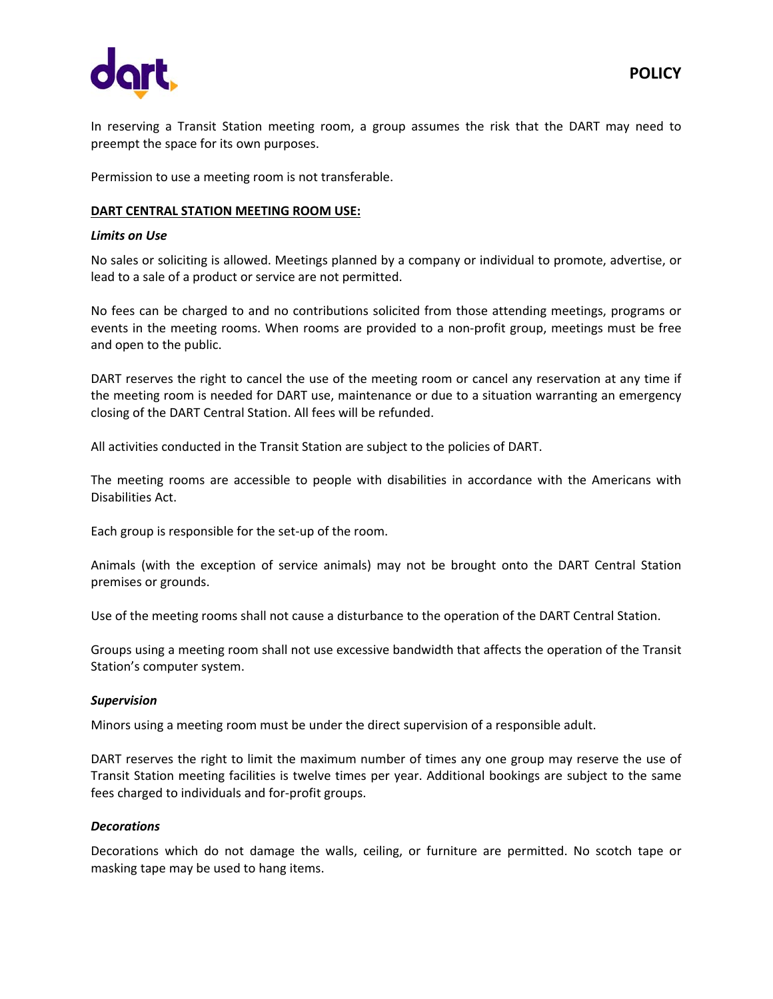

In reserving a Transit Station meeting room, a group assumes the risk that the DART may need to preempt the space for its own purposes.

Permission to use a meeting room is not transferable.

# **DART CENTRAL STATION MEETING ROOM USE:**

# *Limits on Use*

No sales or soliciting is allowed. Meetings planned by a company or individual to promote, advertise, or lead to a sale of a product or service are not permitted.

No fees can be charged to and no contributions solicited from those attending meetings, programs or events in the meeting rooms. When rooms are provided to a non-profit group, meetings must be free and open to the public.

DART reserves the right to cancel the use of the meeting room or cancel any reservation at any time if the meeting room is needed for DART use, maintenance or due to a situation warranting an emergency closing of the DART Central Station. All fees will be refunded.

All activities conducted in the Transit Station are subject to the policies of DART.

The meeting rooms are accessible to people with disabilities in accordance with the Americans with Disabilities Act.

Each group is responsible for the set‐up of the room.

Animals (with the exception of service animals) may not be brought onto the DART Central Station premises or grounds.

Use of the meeting rooms shall not cause a disturbance to the operation of the DART Central Station.

Groups using a meeting room shall not use excessive bandwidth that affects the operation of the Transit Station's computer system.

## *Supervision*

Minors using a meeting room must be under the direct supervision of a responsible adult.

DART reserves the right to limit the maximum number of times any one group may reserve the use of Transit Station meeting facilities is twelve times per year. Additional bookings are subject to the same fees charged to individuals and for‐profit groups.

## *Decorations*

Decorations which do not damage the walls, ceiling, or furniture are permitted. No scotch tape or masking tape may be used to hang items.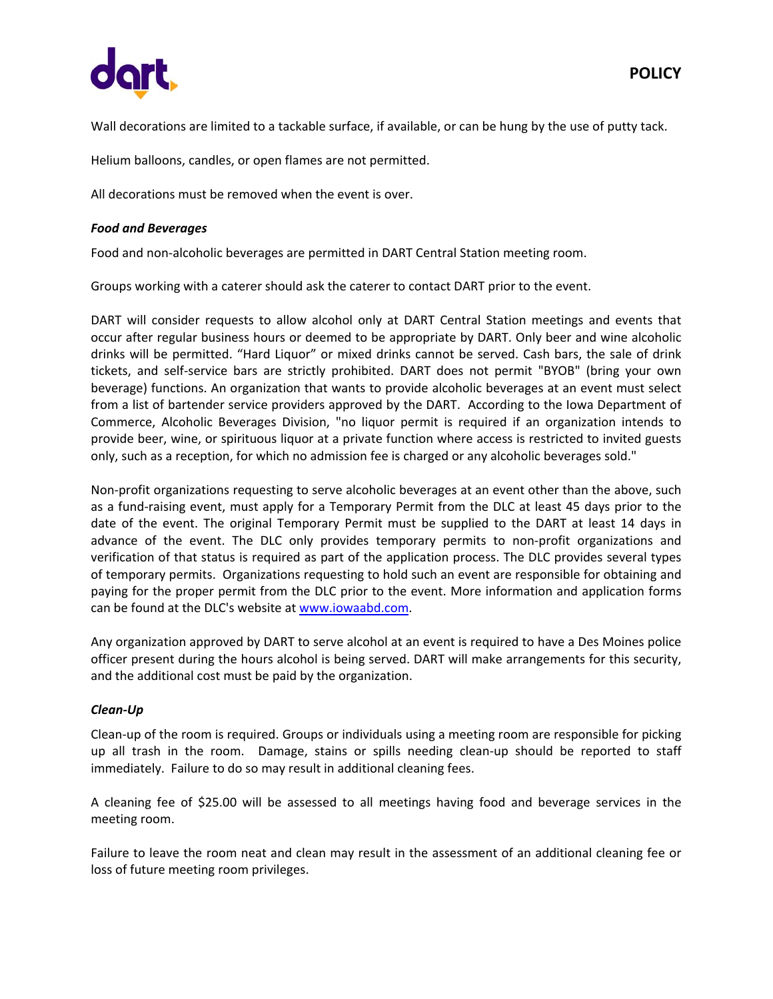

Wall decorations are limited to a tackable surface, if available, or can be hung by the use of putty tack.

Helium balloons, candles, or open flames are not permitted.

All decorations must be removed when the event is over.

# *Food and Beverages*

Food and non‐alcoholic beverages are permitted in DART Central Station meeting room.

Groups working with a caterer should ask the caterer to contact DART prior to the event.

DART will consider requests to allow alcohol only at DART Central Station meetings and events that occur after regular business hours or deemed to be appropriate by DART. Only beer and wine alcoholic drinks will be permitted. "Hard Liquor" or mixed drinks cannot be served. Cash bars, the sale of drink tickets, and self‐service bars are strictly prohibited. DART does not permit "BYOB" (bring your own beverage) functions. An organization that wants to provide alcoholic beverages at an event must select from a list of bartender service providers approved by the DART. According to the Iowa Department of Commerce, Alcoholic Beverages Division, "no liquor permit is required if an organization intends to provide beer, wine, or spirituous liquor at a private function where access is restricted to invited guests only, such as a reception, for which no admission fee is charged or any alcoholic beverages sold."

Non‐profit organizations requesting to serve alcoholic beverages at an event other than the above, such as a fund-raising event, must apply for a Temporary Permit from the DLC at least 45 days prior to the date of the event. The original Temporary Permit must be supplied to the DART at least 14 days in advance of the event. The DLC only provides temporary permits to non-profit organizations and verification of that status is required as part of the application process. The DLC provides several types of temporary permits. Organizations requesting to hold such an event are responsible for obtaining and paying for the proper permit from the DLC prior to the event. More information and application forms can be found at the DLC's website at www.iowaabd.com.

Any organization approved by DART to serve alcohol at an event is required to have a Des Moines police officer present during the hours alcohol is being served. DART will make arrangements for this security, and the additional cost must be paid by the organization.

## *Clean‐Up*

Clean‐up of the room is required. Groups or individuals using a meeting room are responsible for picking up all trash in the room. Damage, stains or spills needing clean‐up should be reported to staff immediately. Failure to do so may result in additional cleaning fees.

A cleaning fee of \$25.00 will be assessed to all meetings having food and beverage services in the meeting room.

Failure to leave the room neat and clean may result in the assessment of an additional cleaning fee or loss of future meeting room privileges.